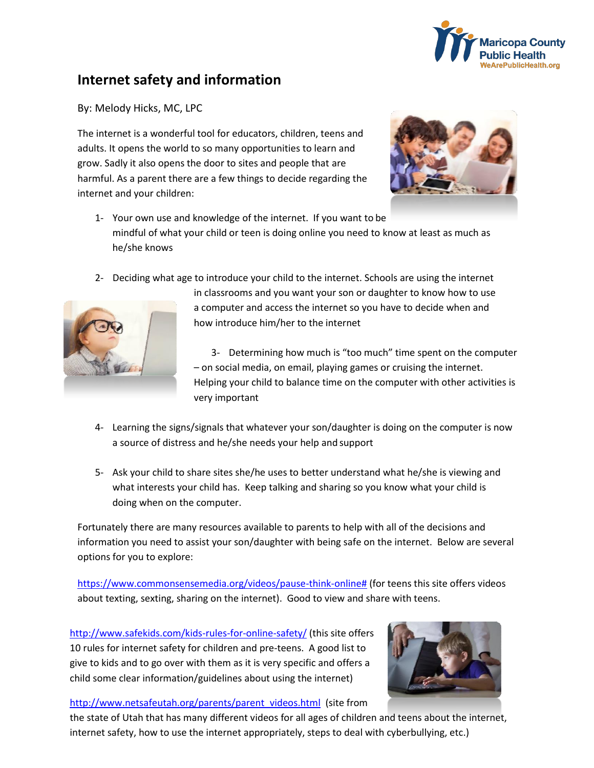

## **Internet safety and information**

By: Melody Hicks, MC, LPC

The internet is a wonderful tool for educators, children, teens and adults. It opens the world to so many opportunities to learn and grow. Sadly it also opens the door to sites and people that are harmful. As a parent there are a few things to decide regarding the internet and your children:



- 1- Your own use and knowledge of the internet. If you want to be mindful of what your child or teen is doing online you need to know at least as much as he/she knows
- 2- Deciding what age to introduce your child to the internet. Schools are using the internet



in classrooms and you want your son or daughter to know how to use a computer and access the internet so you have to decide when and how introduce him/her to the internet

3- Determining how much is "too much" time spent on the computer – on social media, on email, playing games or cruising the internet. Helping your child to balance time on the computer with other activities is very important

- 4- Learning the signs/signals that whatever your son/daughter is doing on the computer is now a source of distress and he/she needs your help and support
- 5- Ask your child to share sites she/he uses to better understand what he/she is viewing and what interests your child has. Keep talking and sharing so you know what your child is doing when on the computer.

Fortunately there are many resources available to parents to help with all of the decisions and information you need to assist your son/daughter with being safe on the internet. Below are several options for you to explore:

[https://www.commonsensemedia.org/videos/pause-think-online#](https://www.commonsensemedia.org/videos/pause-think-online) (for teens this site offers videos about texting, sexting, sharing on the internet). Good to view and share with teens.

<http://www.safekids.com/kids-rules-for-online-safety/> (this site offers 10 rules for internet safety for children and pre-teens. A good list to give to kids and to go over with them as it is very specific and offers a child some clear information/guidelines about using the internet)



## [http://www.netsafeutah.org/parents/parent\\_videos.html](http://www.netsafeutah.org/parents/parent_videos.html) (site from

the state of Utah that has many different videos for all ages of children and teens about the internet, internet safety, how to use the internet appropriately, steps to deal with cyberbullying, etc.)